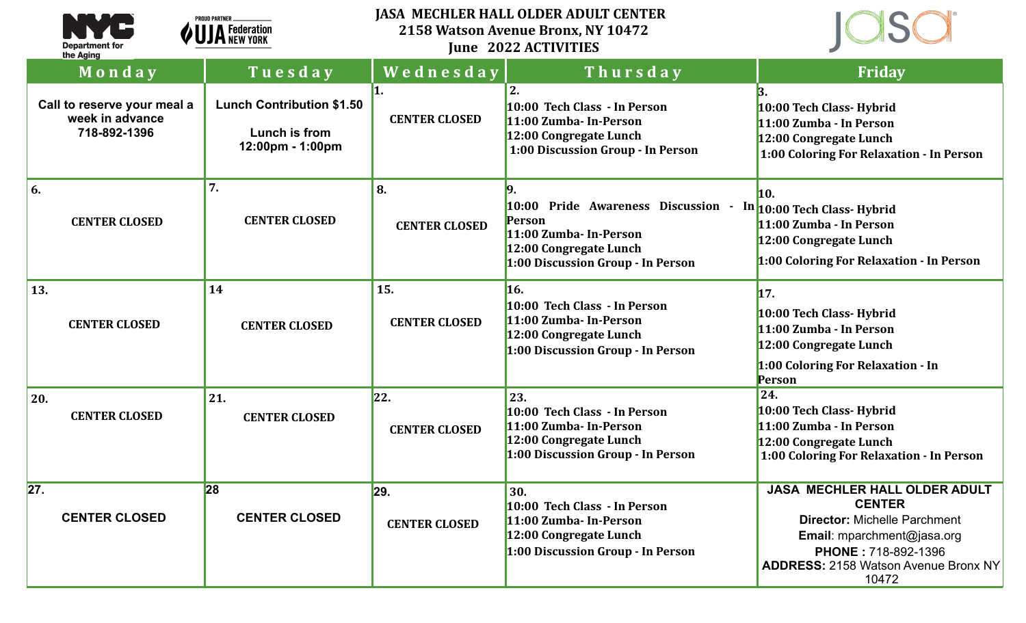

## **JASA MECHLER HALL OLDER ADULT CENTER 2158 Watson Avenue Bronx, NY 10472**

**June 2022 ACTIVITIES**



| Monday                                                         | Tuesday                                                               | Wednesday                   | Thursday                                                                                                                                                         | Friday                                                                                                                                                                                                    |
|----------------------------------------------------------------|-----------------------------------------------------------------------|-----------------------------|------------------------------------------------------------------------------------------------------------------------------------------------------------------|-----------------------------------------------------------------------------------------------------------------------------------------------------------------------------------------------------------|
| Call to reserve your meal a<br>week in advance<br>718-892-1396 | <b>Lunch Contribution \$1.50</b><br>Lunch is from<br>12:00pm - 1:00pm | <b>CENTER CLOSED</b>        | 2.<br>10:00 Tech Class - In Person<br>11:00 Zumba- In-Person<br>12:00 Congregate Lunch<br>1:00 Discussion Group - In Person                                      | 10:00 Tech Class-Hybrid<br>11:00 Zumba - In Person<br>12:00 Congregate Lunch<br>1:00 Coloring For Relaxation - In Person                                                                                  |
| 6.<br><b>CENTER CLOSED</b>                                     | 7.<br><b>CENTER CLOSED</b>                                            | 8.<br><b>CENTER CLOSED</b>  | 10:00 Pride Awareness Discussion - In 10:00 Tech Class-Hybrid<br>Person<br>11:00 Zumba- In-Person<br>12:00 Congregate Lunch<br>1:00 Discussion Group - In Person | 10.<br>11:00 Zumba - In Person<br>12:00 Congregate Lunch<br>1:00 Coloring For Relaxation - In Person                                                                                                      |
| 13.<br><b>CENTER CLOSED</b>                                    | 14<br><b>CENTER CLOSED</b>                                            | 15.<br><b>CENTER CLOSED</b> | 16.<br>10:00 Tech Class - In Person<br>11:00 Zumba- In-Person<br>12:00 Congregate Lunch<br>1:00 Discussion Group - In Person                                     | 17.<br>10:00 Tech Class- Hybrid<br>11:00 Zumba - In Person<br>12:00 Congregate Lunch<br>1:00 Coloring For Relaxation - In<br>Person                                                                       |
| 20.<br><b>CENTER CLOSED</b>                                    | 21.<br><b>CENTER CLOSED</b>                                           | 22.<br><b>CENTER CLOSED</b> | 23.<br>10:00 Tech Class - In Person<br>11:00 Zumba- In-Person<br>12:00 Congregate Lunch<br>1:00 Discussion Group - In Person                                     | 24.<br>10:00 Tech Class- Hybrid<br>11:00 Zumba - In Person<br>12:00 Congregate Lunch<br>1:00 Coloring For Relaxation - In Person                                                                          |
| 27.<br><b>CENTER CLOSED</b>                                    | 28<br><b>CENTER CLOSED</b>                                            | 29.<br><b>CENTER CLOSED</b> | 30.<br>10:00 Tech Class - In Person<br>11:00 Zumba- In-Person<br>12:00 Congregate Lunch<br>1:00 Discussion Group - In Person                                     | <b>JASA MECHLER HALL OLDER ADULT</b><br><b>CENTER</b><br><b>Director: Michelle Parchment</b><br>Email: mparchment@jasa.org<br>PHONE: 718-892-1396<br><b>ADDRESS: 2158 Watson Avenue Bronx NY</b><br>10472 |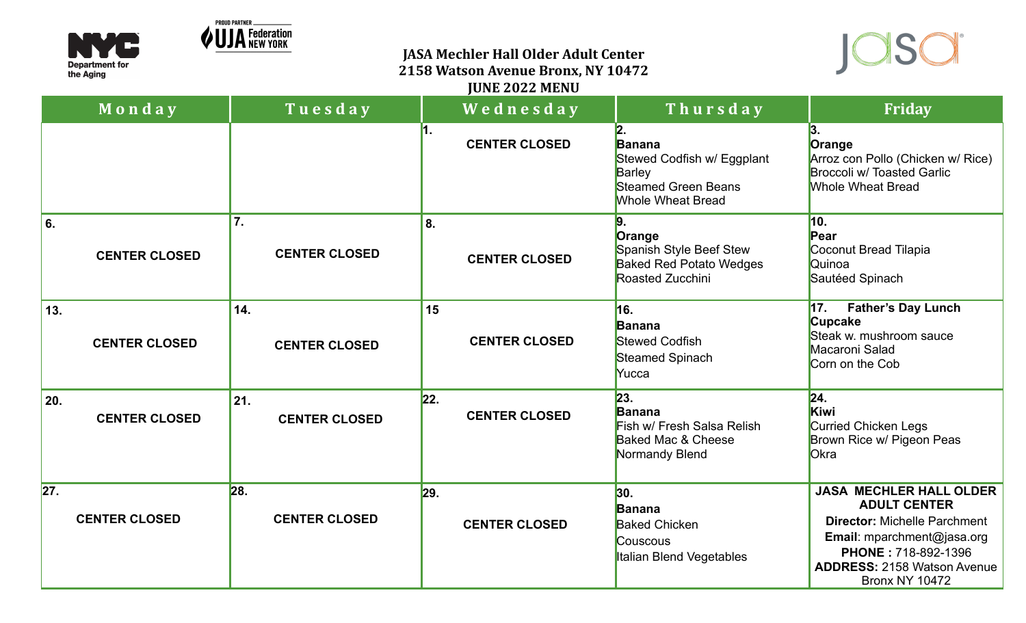



## **JASA Mechler Hall Older Adult Center 2158 Watson Avenue Bronx, NY 10472 JUNE 2022 MENU**



| Monday                                    | Tuesday                     | Wednesday                   | Thursday                                                                                                 | Friday                                                                                                                                                                                                                  |
|-------------------------------------------|-----------------------------|-----------------------------|----------------------------------------------------------------------------------------------------------|-------------------------------------------------------------------------------------------------------------------------------------------------------------------------------------------------------------------------|
|                                           |                             | <b>CENTER CLOSED</b>        | Banana<br>Stewed Codfish w/ Eggplant<br>Barley<br><b>Steamed Green Beans</b><br><b>Whole Wheat Bread</b> | 3.<br>Orange<br>Arroz con Pollo (Chicken w/ Rice)<br><b>Broccoli w/ Toasted Garlic</b><br><b>Whole Wheat Bread</b>                                                                                                      |
| l 6.<br><b>CENTER CLOSED</b>              | 7.<br><b>CENTER CLOSED</b>  | 8.<br><b>CENTER CLOSED</b>  | Orange<br>Spanish Style Beef Stew<br><b>Baked Red Potato Wedges</b><br>Roasted Zucchini                  | 10.<br>Pear<br><b>Coconut Bread Tilapia</b><br>Quinoa<br>Sautéed Spinach                                                                                                                                                |
| 13.<br><b>CENTER CLOSED</b>               | 14.<br><b>CENTER CLOSED</b> | 15<br><b>CENTER CLOSED</b>  | 16.<br>Banana<br><b>Stewed Codfish</b><br><b>Steamed Spinach</b><br>Yucca                                | 17.<br><b>Father's Day Lunch</b><br><b>Cupcake</b><br>Steak w. mushroom sauce<br>Macaroni Salad<br>Corn on the Cob                                                                                                      |
| 20.<br><b>CENTER CLOSED</b>               | 21.<br><b>CENTER CLOSED</b> | 22.<br><b>CENTER CLOSED</b> | 23.<br>Banana<br>Fish w/ Fresh Salsa Relish<br><b>Baked Mac &amp; Cheese</b><br>Normandy Blend           | 24.<br>Kiwi<br><b>Curried Chicken Legs</b><br>Brown Rice w/ Pigeon Peas<br>Okra                                                                                                                                         |
| $\overline{27}$ .<br><b>CENTER CLOSED</b> | 28.<br><b>CENTER CLOSED</b> | 29.<br><b>CENTER CLOSED</b> | 30.<br><b>Banana</b><br><b>Baked Chicken</b><br><b>Couscous</b><br><b>Italian Blend Vegetables</b>       | <b>JASA MECHLER HALL OLDER</b><br><b>ADULT CENTER</b><br><b>Director: Michelle Parchment</b><br>Email: mparchment@jasa.org<br><b>PHONE: 718-892-1396</b><br><b>ADDRESS: 2158 Watson Avenue</b><br><b>Bronx NY 10472</b> |